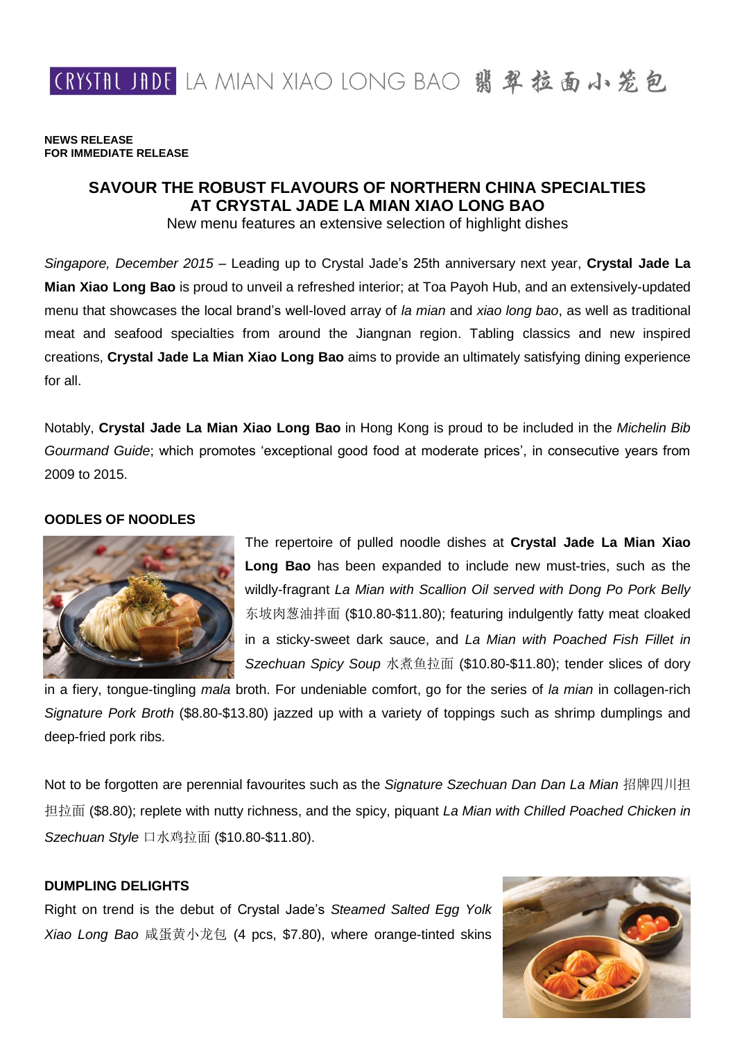CRYSTAL JADE LA MIAN XIAO LONG BAO 翡翠拉面小笼包

**NEWS RELEASE FOR IMMEDIATE RELEASE**

# **SAVOUR THE ROBUST FLAVOURS OF NORTHERN CHINA SPECIALTIES AT CRYSTAL JADE LA MIAN XIAO LONG BAO**

New menu features an extensive selection of highlight dishes

*Singapore, December 2015* – Leading up to Crystal Jade's 25th anniversary next year, **Crystal Jade La Mian Xiao Long Bao** is proud to unveil a refreshed interior; at Toa Payoh Hub, and an extensively-updated menu that showcases the local brand's well-loved array of *la mian* and *xiao long bao*, as well as traditional meat and seafood specialties from around the Jiangnan region. Tabling classics and new inspired creations, **Crystal Jade La Mian Xiao Long Bao** aims to provide an ultimately satisfying dining experience for all.

Notably, **Crystal Jade La Mian Xiao Long Bao** in Hong Kong is proud to be included in the *Michelin Bib Gourmand Guide*; which promotes 'exceptional good food at moderate prices', in consecutive years from 2009 to 2015.

#### **OODLES OF NOODLES**



The repertoire of pulled noodle dishes at **Crystal Jade La Mian Xiao Long Bao** has been expanded to include new must-tries, such as the wildly-fragrant *La Mian with Scallion Oil served with Dong Po Pork Belly* 东坡肉葱油拌面 (\$10.80-\$11.80); featuring indulgently fatty meat cloaked in a sticky-sweet dark sauce, and *La Mian with Poached Fish Fillet in Szechuan Spicy Soup* 水煮鱼拉面 (\$10.80-\$11.80); tender slices of dory

in a fiery, tongue-tingling *mala* broth. For undeniable comfort, go for the series of *la mian* in collagen-rich *Signature Pork Broth* (\$8.80-\$13.80) jazzed up with a variety of toppings such as shrimp dumplings and deep-fried pork ribs.

Not to be forgotten are perennial favourites such as the *Signature Szechuan Dan Dan La Mian* 招牌四川担 担拉面 (\$8.80); replete with nutty richness, and the spicy, piquant *La Mian with Chilled Poached Chicken in Szechuan Style* 口水鸡拉面 (\$10.80-\$11.80).

## **DUMPLING DELIGHTS**

Right on trend is the debut of Crystal Jade's *Steamed Salted Egg Yolk Xiao Long Bao* 咸蛋黄小龙包 (4 pcs, \$7.80), where orange-tinted skins

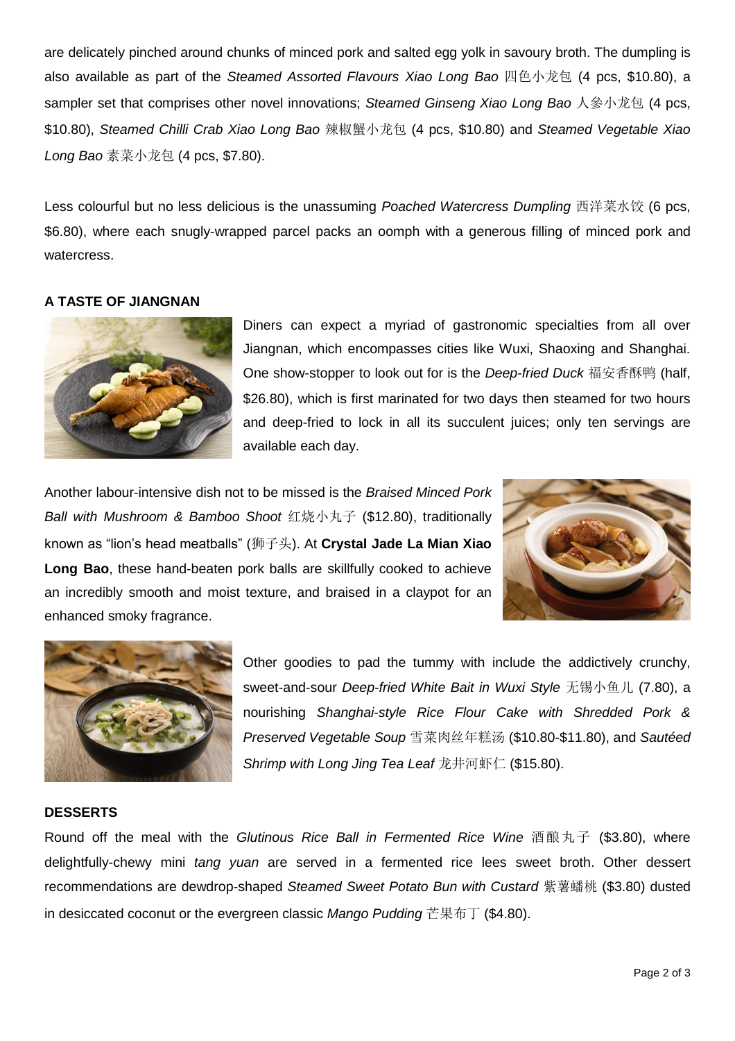are delicately pinched around chunks of minced pork and salted egg yolk in savoury broth. The dumpling is also available as part of the *Steamed Assorted Flavours Xiao Long Bao* 四色小龙包 (4 pcs, \$10.80), a sampler set that comprises other novel innovations; *Steamed Ginseng Xiao Long Bao* 人參小龙包 (4 pcs, \$10.80), *Steamed Chilli Crab Xiao Long Bao* 辣椒蟹小龙包 (4 pcs, \$10.80) and *Steamed Vegetable Xiao Long Bao* 素菜小龙包 (4 pcs, \$7.80).

Less colourful but no less delicious is the unassuming *Poached Watercress Dumpling* 西洋菜水饺 (6 pcs, \$6.80), where each snugly-wrapped parcel packs an oomph with a generous filling of minced pork and watercress.

## **A TASTE OF JIANGNAN**



Diners can expect a myriad of gastronomic specialties from all over Jiangnan, which encompasses cities like Wuxi, Shaoxing and Shanghai. One show-stopper to look out for is the *Deep-fried Duck* 福安香酥鸭 (half, \$26.80), which is first marinated for two days then steamed for two hours and deep-fried to lock in all its succulent juices; only ten servings are available each day.

Another labour-intensive dish not to be missed is the *Braised Minced Pork Ball with Mushroom & Bamboo Shoot* 红烧小丸子 (\$12.80), traditionally known as "lion's head meatballs" (狮子头). At **Crystal Jade La Mian Xiao Long Bao**, these hand-beaten pork balls are skillfully cooked to achieve an incredibly smooth and moist texture, and braised in a claypot for an enhanced smoky fragrance.





Other goodies to pad the tummy with include the addictively crunchy, sweet-and-sour *Deep-fried White Bait in Wuxi Style* 无锡小鱼儿 (7.80), a nourishing *Shanghai-style Rice Flour Cake with Shredded Pork & Preserved Vegetable Soup* 雪菜肉丝年糕汤 (\$10.80-\$11.80), and *Sautéed Shrimp with Long Jing Tea Leaf* 龙井河虾仁 (\$15.80).

## **DESSERTS**

Round off the meal with the *Glutinous Rice Ball in Fermented Rice Wine* 酒酿丸子 (\$3.80), where delightfully-chewy mini *tang yuan* are served in a fermented rice lees sweet broth. Other dessert recommendations are dewdrop-shaped *Steamed Sweet Potato Bun with Custard* 紫薯蟠桃 (\$3.80) dusted in desiccated coconut or the evergreen classic *Mango Pudding* 芒果布丁 (\$4.80).